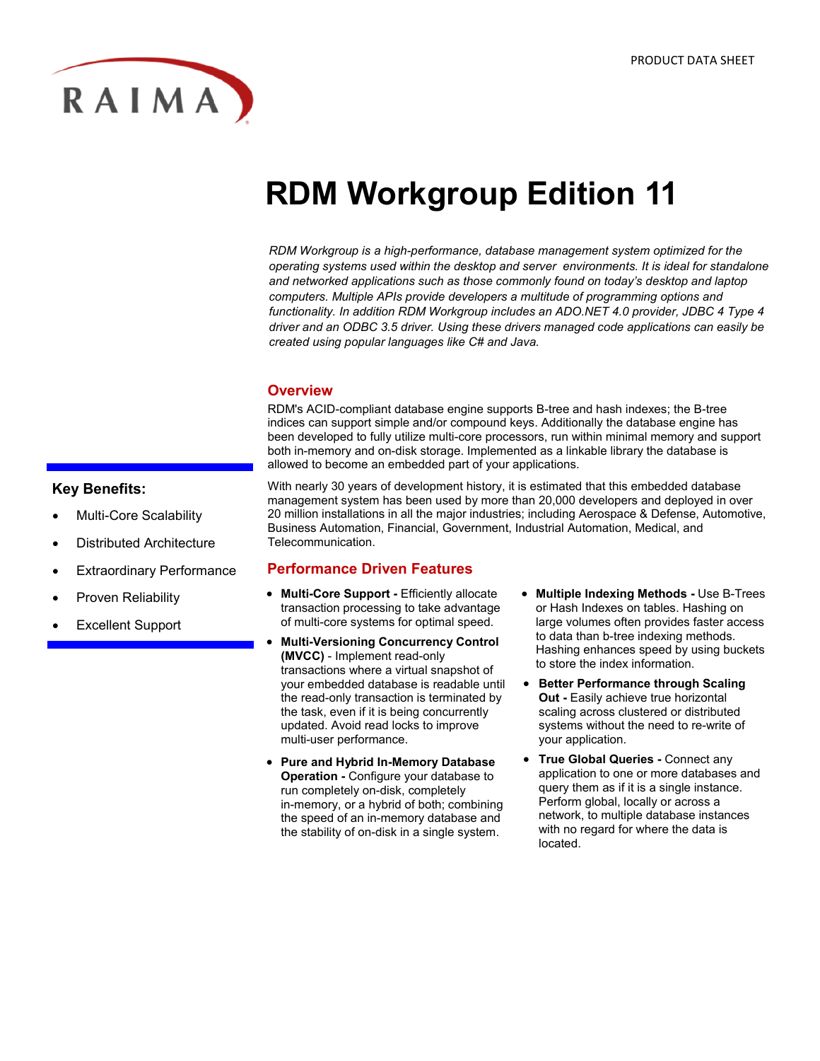

# **RDM Workgroup Edition 11**

*RDM Workgroup is a high-performance, database management system optimized for the operating systems used within the desktop and server environments. It is ideal for standalone and networked applications such as those commonly found on today's desktop and laptop computers. Multiple APIs provide developers a multitude of programming options and functionality. In addition RDM Workgroup includes an ADO.NET 4.0 provider, JDBC 4 Type 4 driver and an ODBC 3.5 driver. Using these drivers managed code applications can easily be created using popular languages like C# and Java.*

# **Overview**

RDM's ACID-compliant database engine supports B-tree and hash indexes; the B-tree indices can support simple and/or compound keys. Additionally the database engine has been developed to fully utilize multi-core processors, run within minimal memory and support both in-memory and on-disk storage. Implemented as a linkable library the database is allowed to become an embedded part of your applications.

### **Key Benefits:**

- Multi-Core Scalability
- Distributed Architecture
- Extraordinary Performance
- Proven Reliability
- Excellent Support

With nearly 30 years of development history, it is estimated that this embedded database management system has been used by more than 20,000 developers and deployed in over 20 million installations in all the major industries; including Aerospace & Defense, Automotive, Business Automation, Financial, Government, Industrial Automation, Medical, and Telecommunication.

### **Performance Driven Features**

- **Multi-Core Support -** Efficiently allocate transaction processing to take advantage of multi-core systems for optimal speed.
- **Multi-Versioning Concurrency Control (MVCC)** - Implement read-only transactions where a virtual snapshot of your embedded database is readable until the read-only transaction is terminated by the task, even if it is being concurrently updated. Avoid read locks to improve multi-user performance.
- **Pure and Hybrid In-Memory Database Operation -** Configure your database to run completely on-disk, completely in-memory, or a hybrid of both; combining the speed of an in-memory database and the stability of on-disk in a single system.
- **Multiple Indexing Methods -** Use B-Trees or Hash Indexes on tables. Hashing on large volumes often provides faster access to data than b-tree indexing methods. Hashing enhances speed by using buckets to store the index information.
- **Better Performance through Scaling Out -** Easily achieve true horizontal scaling across clustered or distributed systems without the need to re-write of your application.
- **True Global Queries -** Connect any application to one or more databases and query them as if it is a single instance. Perform global, locally or across a network, to multiple database instances with no regard for where the data is located.